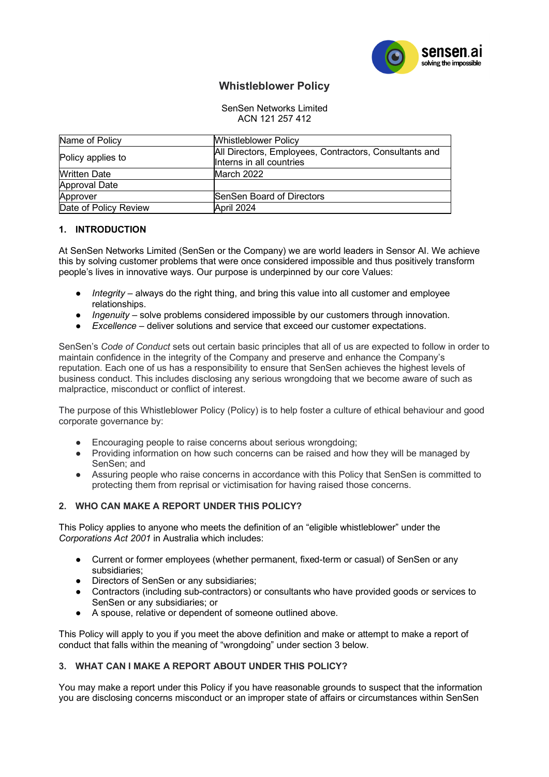

# **Whistleblower Policy**

#### SenSen Networks Limited ACN 121 257 412

| Name of Policy        | <b>Whistleblower Policy</b>                            |
|-----------------------|--------------------------------------------------------|
| Policy applies to     | All Directors, Employees, Contractors, Consultants and |
|                       | Interns in all countries                               |
| <b>Written Date</b>   | March 2022                                             |
| Approval Date         |                                                        |
| Approver              | <b>SenSen Board of Directors</b>                       |
| Date of Policy Review | April 2024                                             |

# **1. INTRODUCTION**

At SenSen Networks Limited (SenSen or the Company) we are world leaders in Sensor AI. We achieve this by solving customer problems that were once considered impossible and thus positively transform people's lives in innovative ways. Our purpose is underpinned by our core Values:

- *Integrity* always do the right thing, and bring this value into all customer and employee relationships.
- *Ingenuity*  solve problems considered impossible by our customers through innovation.
- **Excellence** deliver solutions and service that exceed our customer expectations.

SenSen's *Code of Conduct* sets out certain basic principles that all of us are expected to follow in order to maintain confidence in the integrity of the Company and preserve and enhance the Company's reputation. Each one of us has a responsibility to ensure that SenSen achieves the highest levels of business conduct. This includes disclosing any serious wrongdoing that we become aware of such as malpractice, misconduct or conflict of interest.

The purpose of this Whistleblower Policy (Policy) is to help foster a culture of ethical behaviour and good corporate governance by:

- Encouraging people to raise concerns about serious wrongdoing;
- Providing information on how such concerns can be raised and how they will be managed by SenSen; and
- Assuring people who raise concerns in accordance with this Policy that SenSen is committed to protecting them from reprisal or victimisation for having raised those concerns.

## **2. WHO CAN MAKE A REPORT UNDER THIS POLICY?**

This Policy applies to anyone who meets the definition of an "eligible whistleblower" under the *Corporations Act 2001* in Australia which includes:

- Current or former employees (whether permanent, fixed-term or casual) of SenSen or any subsidiaries;
- Directors of SenSen or any subsidiaries;
- Contractors (including sub-contractors) or consultants who have provided goods or services to SenSen or any subsidiaries; or
- A spouse, relative or dependent of someone outlined above.

This Policy will apply to you if you meet the above definition and make or attempt to make a report of conduct that falls within the meaning of "wrongdoing" under section 3 below.

## **3. WHAT CAN I MAKE A REPORT ABOUT UNDER THIS POLICY?**

You may make a report under this Policy if you have reasonable grounds to suspect that the information you are disclosing concerns misconduct or an improper state of affairs or circumstances within SenSen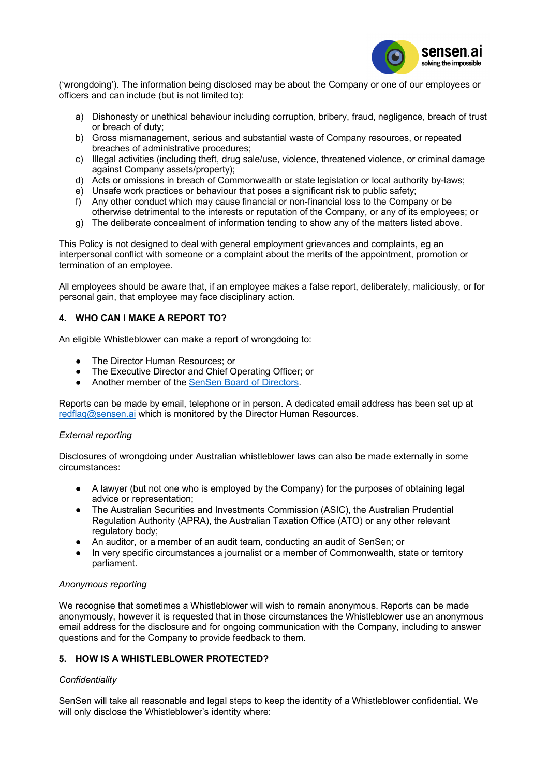

('wrongdoing'). The information being disclosed may be about the Company or one of our employees or officers and can include (but is not limited to):

- a) Dishonesty or unethical behaviour including corruption, bribery, fraud, negligence, breach of trust or breach of duty;
- b) Gross mismanagement, serious and substantial waste of Company resources, or repeated breaches of administrative procedures;
- c) Illegal activities (including theft, drug sale/use, violence, threatened violence, or criminal damage against Company assets/property);
- d) Acts or omissions in breach of Commonwealth or state legislation or local authority by-laws;
- e) Unsafe work practices or behaviour that poses a significant risk to public safety;
- f) Any other conduct which may cause financial or non-financial loss to the Company or be otherwise detrimental to the interests or reputation of the Company, or any of its employees; or
- g) The deliberate concealment of information tending to show any of the matters listed above.

This Policy is not designed to deal with general employment grievances and complaints, eg an interpersonal conflict with someone or a complaint about the merits of the appointment, promotion or termination of an employee.

All employees should be aware that, if an employee makes a false report, deliberately, maliciously, or for personal gain, that employee may face disciplinary action.

# **4. WHO CAN I MAKE A REPORT TO?**

An eligible Whistleblower can make a report of wrongdoing to:

- The Director Human Resources: or
- The Executive Director and Chief Operating Officer; or
- Another member of the [SenSen Board of Directors.](https://sensen.ai/company/leadership-team/)

Reports can be made by email, telephone or in person. A dedicated email address has been set up at [redflag@sensen.ai](mailto:redflag@sensen.ai) which is monitored by the Director Human Resources.

## *External reporting*

Disclosures of wrongdoing under Australian whistleblower laws can also be made externally in some circumstances:

- A lawyer (but not one who is employed by the Company) for the purposes of obtaining legal advice or representation;
- The Australian Securities and Investments Commission (ASIC), the Australian Prudential Regulation Authority (APRA), the Australian Taxation Office (ATO) or any other relevant regulatory body:
- An auditor, or a member of an audit team, conducting an audit of SenSen; or
- In very specific circumstances a journalist or a member of Commonwealth, state or territory parliament.

## *Anonymous reporting*

We recognise that sometimes a Whistleblower will wish to remain anonymous. Reports can be made anonymously, however it is requested that in those circumstances the Whistleblower use an anonymous email address for the disclosure and for ongoing communication with the Company, including to answer questions and for the Company to provide feedback to them.

## **5. HOW IS A WHISTLEBLOWER PROTECTED?**

## *Confidentiality*

SenSen will take all reasonable and legal steps to keep the identity of a Whistleblower confidential. We will only disclose the Whistleblower's identity where: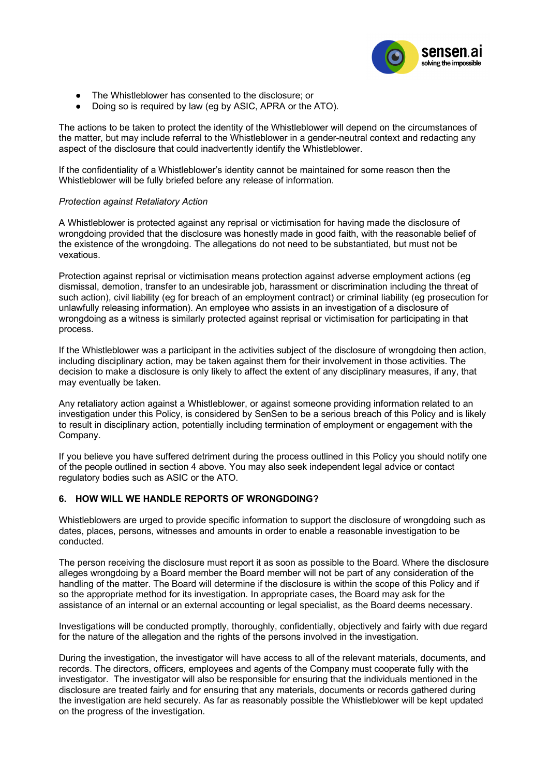

- The Whistleblower has consented to the disclosure; or
- Doing so is required by law (eg by ASIC, APRA or the ATO).

The actions to be taken to protect the identity of the Whistleblower will depend on the circumstances of the matter, but may include referral to the Whistleblower in a gender-neutral context and redacting any aspect of the disclosure that could inadvertently identify the Whistleblower.

If the confidentiality of a Whistleblower's identity cannot be maintained for some reason then the Whistleblower will be fully briefed before any release of information.

#### *Protection against Retaliatory Action*

A Whistleblower is protected against any reprisal or victimisation for having made the disclosure of wrongdoing provided that the disclosure was honestly made in good faith, with the reasonable belief of the existence of the wrongdoing. The allegations do not need to be substantiated, but must not be vexatious.

Protection against reprisal or victimisation means protection against adverse employment actions (eg dismissal, demotion, transfer to an undesirable job, harassment or discrimination including the threat of such action), civil liability (eg for breach of an employment contract) or criminal liability (eg prosecution for unlawfully releasing information). An employee who assists in an investigation of a disclosure of wrongdoing as a witness is similarly protected against reprisal or victimisation for participating in that process.

If the Whistleblower was a participant in the activities subject of the disclosure of wrongdoing then action, including disciplinary action, may be taken against them for their involvement in those activities. The decision to make a disclosure is only likely to affect the extent of any disciplinary measures, if any, that may eventually be taken.

Any retaliatory action against a Whistleblower, or against someone providing information related to an investigation under this Policy, is considered by SenSen to be a serious breach of this Policy and is likely to result in disciplinary action, potentially including termination of employment or engagement with the Company.

If you believe you have suffered detriment during the process outlined in this Policy you should notify one of the people outlined in section 4 above. You may also seek independent legal advice or contact regulatory bodies such as ASIC or the ATO.

## **6. HOW WILL WE HANDLE REPORTS OF WRONGDOING?**

Whistleblowers are urged to provide specific information to support the disclosure of wrongdoing such as dates, places, persons, witnesses and amounts in order to enable a reasonable investigation to be conducted.

The person receiving the disclosure must report it as soon as possible to the Board. Where the disclosure alleges wrongdoing by a Board member the Board member will not be part of any consideration of the handling of the matter. The Board will determine if the disclosure is within the scope of this Policy and if so the appropriate method for its investigation. In appropriate cases, the Board may ask for the assistance of an internal or an external accounting or legal specialist, as the Board deems necessary.

Investigations will be conducted promptly, thoroughly, confidentially, objectively and fairly with due regard for the nature of the allegation and the rights of the persons involved in the investigation.

During the investigation, the investigator will have access to all of the relevant materials, documents, and records. The directors, officers, employees and agents of the Company must cooperate fully with the investigator. The investigator will also be responsible for ensuring that the individuals mentioned in the disclosure are treated fairly and for ensuring that any materials, documents or records gathered during the investigation are held securely. As far as reasonably possible the Whistleblower will be kept updated on the progress of the investigation.